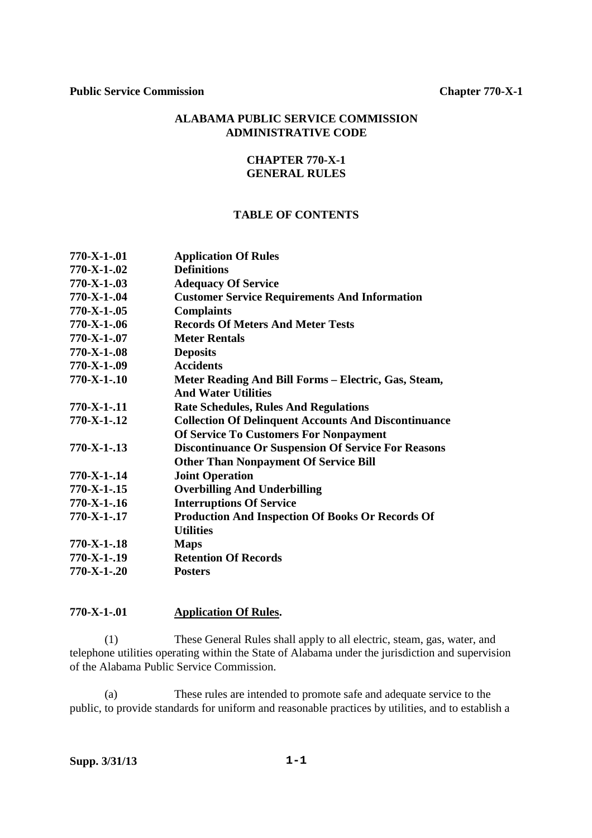# **ALABAMA PUBLIC SERVICE COMMISSION ADMINISTRATIVE CODE**

# **CHAPTER 770-X-1 GENERAL RULES**

# **TABLE OF CONTENTS**

| <b>Application Of Rules</b>                                 |
|-------------------------------------------------------------|
| <b>Definitions</b>                                          |
| <b>Adequacy Of Service</b>                                  |
| <b>Customer Service Requirements And Information</b>        |
| <b>Complaints</b>                                           |
| <b>Records Of Meters And Meter Tests</b>                    |
| <b>Meter Rentals</b>                                        |
| <b>Deposits</b>                                             |
| <b>Accidents</b>                                            |
| Meter Reading And Bill Forms - Electric, Gas, Steam,        |
| <b>And Water Utilities</b>                                  |
| <b>Rate Schedules, Rules And Regulations</b>                |
| <b>Collection Of Delinquent Accounts And Discontinuance</b> |
| <b>Of Service To Customers For Nonpayment</b>               |
| <b>Discontinuance Or Suspension Of Service For Reasons</b>  |
| <b>Other Than Nonpayment Of Service Bill</b>                |
| <b>Joint Operation</b>                                      |
| <b>Overbilling And Underbilling</b>                         |
| <b>Interruptions Of Service</b>                             |
| <b>Production And Inspection Of Books Or Records Of</b>     |
| <b>Utilities</b>                                            |
| <b>Maps</b>                                                 |
| <b>Retention Of Records</b>                                 |
| <b>Posters</b>                                              |
|                                                             |

### **770-X-1-.01 Application Of Rules.**

 (1) These General Rules shall apply to all electric, steam, gas, water, and telephone utilities operating within the State of Alabama under the jurisdiction and supervision of the Alabama Public Service Commission.

 (a) These rules are intended to promote safe and adequate service to the public, to provide standards for uniform and reasonable practices by utilities, and to establish a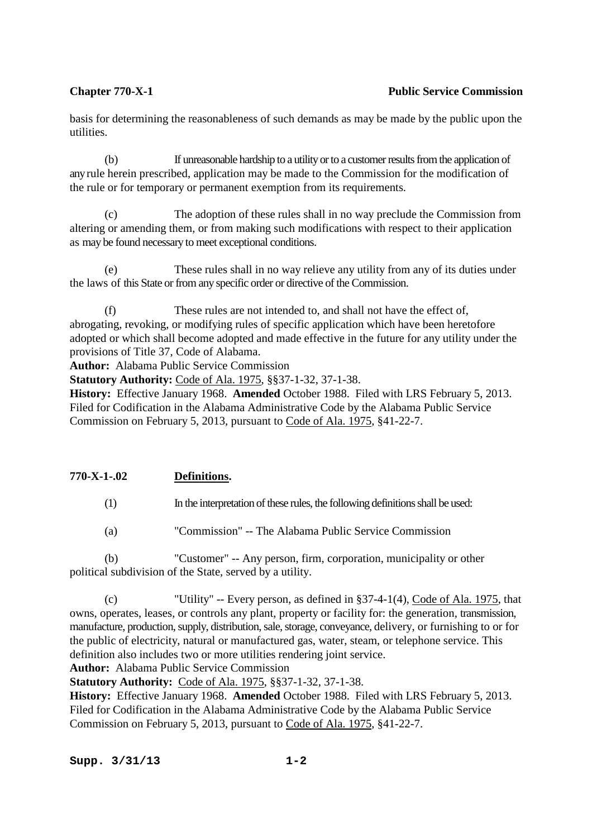# **Chapter 770-X-1** Public Service Commission

basis for determining the reasonableness of such demands as may be made by the public upon the utilities.

 (b) If unreasonable hardship to a utility or to a customer results from the application of any rule herein prescribed, application may be made to the Commission for the modification of the rule or for temporary or permanent exemption from its requirements.

 (c) The adoption of these rules shall in no way preclude the Commission from altering or amending them, or from making such modifications with respect to their application as may be found necessary to meet exceptional conditions.

 (e) These rules shall in no way relieve any utility from any of its duties under the laws of this State or from any specific order or directive of the Commission.

 (f) These rules are not intended to, and shall not have the effect of, abrogating, revoking, or modifying rules of specific application which have been heretofore adopted or which shall become adopted and made effective in the future for any utility under the provisions of Title 37, Code of Alabama.

**Author:** Alabama Public Service Commission

**Statutory Authority:** Code of Ala. 1975, §§37-1-32, 37-1-38.

**History:** Effective January 1968. **Amended** October 1988. Filed with LRS February 5, 2013. Filed for Codification in the Alabama Administrative Code by the Alabama Public Service Commission on February 5, 2013, pursuant to Code of Ala. 1975, §41-22-7.

# **770-X-1-.02 Definitions.**

(1) In the interpretation of these rules, the following definitions shall be used:

(a) "Commission" -- The Alabama Public Service Commission

 (b) "Customer" -- Any person, firm, corporation, municipality or other political subdivision of the State, served by a utility.

 (c) "Utility" -- Every person, as defined in §37-4-1(4), Code of Ala. 1975, that owns, operates, leases, or controls any plant, property or facility for: the generation, transmission, manufacture, production, supply, distribution, sale, storage, conveyance, delivery, or furnishing to or for the public of electricity, natural or manufactured gas, water, steam, or telephone service. This definition also includes two or more utilities rendering joint service.

**Author:** Alabama Public Service Commission

**Statutory Authority:** Code of Ala. 1975, §§37-1-32, 37-1-38.

**History:** Effective January 1968. **Amended** October 1988. Filed with LRS February 5, 2013. Filed for Codification in the Alabama Administrative Code by the Alabama Public Service Commission on February 5, 2013, pursuant to Code of Ala. 1975, §41-22-7.

**Supp. 3/31/13 1-2**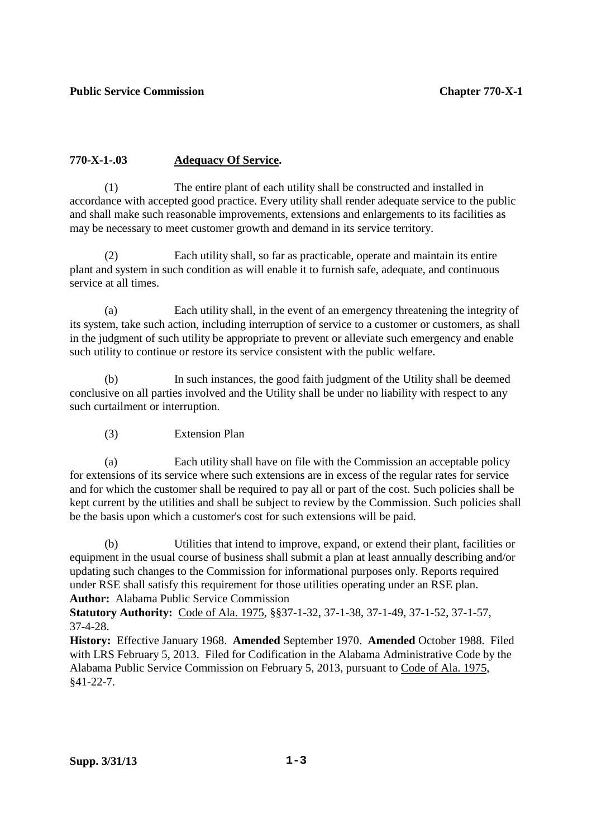# **770-X-1-.03 Adequacy Of Service.**

 (1) The entire plant of each utility shall be constructed and installed in accordance with accepted good practice. Every utility shall render adequate service to the public and shall make such reasonable improvements, extensions and enlargements to its facilities as may be necessary to meet customer growth and demand in its service territory.

 (2) Each utility shall, so far as practicable, operate and maintain its entire plant and system in such condition as will enable it to furnish safe, adequate, and continuous service at all times.

 (a) Each utility shall, in the event of an emergency threatening the integrity of its system, take such action, including interruption of service to a customer or customers, as shall in the judgment of such utility be appropriate to prevent or alleviate such emergency and enable such utility to continue or restore its service consistent with the public welfare.

 (b) In such instances, the good faith judgment of the Utility shall be deemed conclusive on all parties involved and the Utility shall be under no liability with respect to any such curtailment or interruption.

(3) Extension Plan

 (a) Each utility shall have on file with the Commission an acceptable policy for extensions of its service where such extensions are in excess of the regular rates for service and for which the customer shall be required to pay all or part of the cost. Such policies shall be kept current by the utilities and shall be subject to review by the Commission. Such policies shall be the basis upon which a customer's cost for such extensions will be paid.

 (b) Utilities that intend to improve, expand, or extend their plant, facilities or equipment in the usual course of business shall submit a plan at least annually describing and/or updating such changes to the Commission for informational purposes only. Reports required under RSE shall satisfy this requirement for those utilities operating under an RSE plan. **Author:** Alabama Public Service Commission

**Statutory Authority:** Code of Ala. 1975, §§37-1-32, 37-1-38, 37-1-49, 37-1-52, 37-1-57, 37-4-28.

**History:** Effective January 1968. **Amended** September 1970. **Amended** October 1988. Filed with LRS February 5, 2013. Filed for Codification in the Alabama Administrative Code by the Alabama Public Service Commission on February 5, 2013, pursuant to Code of Ala. 1975, §41-22-7.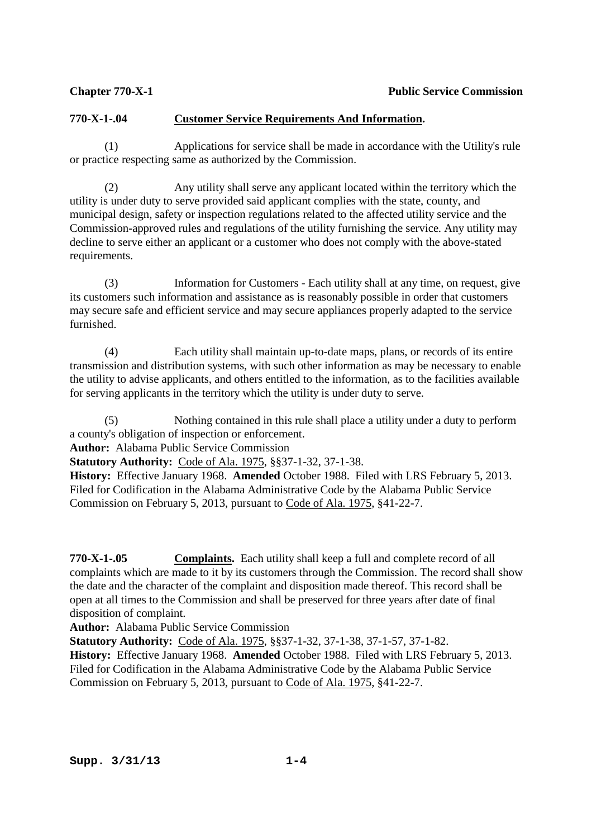# **770-X-1-.04 Customer Service Requirements And Information.**

 (1) Applications for service shall be made in accordance with the Utility's rule or practice respecting same as authorized by the Commission.

 (2) Any utility shall serve any applicant located within the territory which the utility is under duty to serve provided said applicant complies with the state, county, and municipal design, safety or inspection regulations related to the affected utility service and the Commission-approved rules and regulations of the utility furnishing the service. Any utility may decline to serve either an applicant or a customer who does not comply with the above-stated requirements.

 (3) Information for Customers - Each utility shall at any time, on request, give its customers such information and assistance as is reasonably possible in order that customers may secure safe and efficient service and may secure appliances properly adapted to the service furnished.

 (4) Each utility shall maintain up-to-date maps, plans, or records of its entire transmission and distribution systems, with such other information as may be necessary to enable the utility to advise applicants, and others entitled to the information, as to the facilities available for serving applicants in the territory which the utility is under duty to serve.

 (5) Nothing contained in this rule shall place a utility under a duty to perform a county's obligation of inspection or enforcement.

**Author:** Alabama Public Service Commission

**Statutory Authority:** Code of Ala. 1975, §§37-1-32, 37-1-38.

**History:** Effective January 1968. **Amended** October 1988. Filed with LRS February 5, 2013. Filed for Codification in the Alabama Administrative Code by the Alabama Public Service Commission on February 5, 2013, pursuant to Code of Ala. 1975, §41-22-7.

**770-X-1-.05 Complaints.** Each utility shall keep a full and complete record of all complaints which are made to it by its customers through the Commission. The record shall show the date and the character of the complaint and disposition made thereof. This record shall be open at all times to the Commission and shall be preserved for three years after date of final disposition of complaint.

**Author:** Alabama Public Service Commission

**Statutory Authority:** Code of Ala. 1975, §§37-1-32, 37-1-38, 37-1-57, 37-1-82.

**History:** Effective January 1968. **Amended** October 1988. Filed with LRS February 5, 2013. Filed for Codification in the Alabama Administrative Code by the Alabama Public Service Commission on February 5, 2013, pursuant to Code of Ala. 1975, §41-22-7.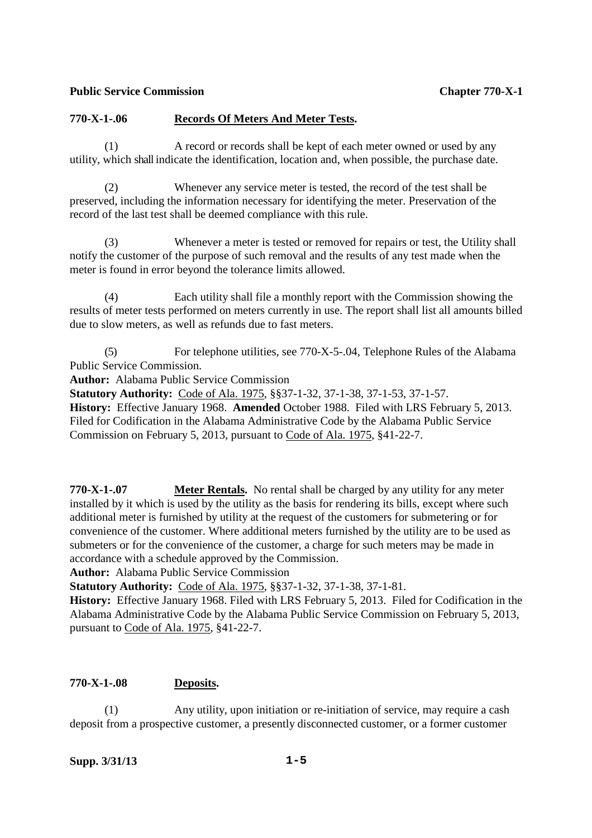### **770-X-1-.06 Records Of Meters And Meter Tests.**

 (1) A record or records shall be kept of each meter owned or used by any utility, which shall indicate the identification, location and, when possible, the purchase date.

 (2) Whenever any service meter is tested, the record of the test shall be preserved, including the information necessary for identifying the meter. Preservation of the record of the last test shall be deemed compliance with this rule.

Whenever a meter is tested or removed for repairs or test, the Utility shall notify the customer of the purpose of such removal and the results of any test made when the meter is found in error beyond the tolerance limits allowed.

 (4) Each utility shall file a monthly report with the Commission showing the results of meter tests performed on meters currently in use. The report shall list all amounts billed due to slow meters, as well as refunds due to fast meters.

 (5) For telephone utilities, see 770-X-5-.04, Telephone Rules of the Alabama Public Service Commission.

**Author:** Alabama Public Service Commission

**Statutory Authority:** Code of Ala. 1975, §§37-1-32, 37-1-38, 37-1-53, 37-1-57.

**History:** Effective January 1968. **Amended** October 1988. Filed with LRS February 5, 2013. Filed for Codification in the Alabama Administrative Code by the Alabama Public Service Commission on February 5, 2013, pursuant to Code of Ala. 1975, §41-22-7.

**770-X-1-.07 Meter Rentals.** No rental shall be charged by any utility for any meter installed by it which is used by the utility as the basis for rendering its bills, except where such additional meter is furnished by utility at the request of the customers for submetering or for convenience of the customer. Where additional meters furnished by the utility are to be used as submeters or for the convenience of the customer, a charge for such meters may be made in accordance with a schedule approved by the Commission.

**Author:** Alabama Public Service Commission

**Statutory Authority:** Code of Ala. 1975, §§37-1-32, 37-1-38, 37-1-81.

**History:** Effective January 1968. Filed with LRS February 5, 2013. Filed for Codification in the Alabama Administrative Code by the Alabama Public Service Commission on February 5, 2013, pursuant to Code of Ala. 1975, §41-22-7.

# **770-X-1-.08 Deposits.**

 (1) Any utility, upon initiation or re-initiation of service, may require a cash deposit from a prospective customer, a presently disconnected customer, or a former customer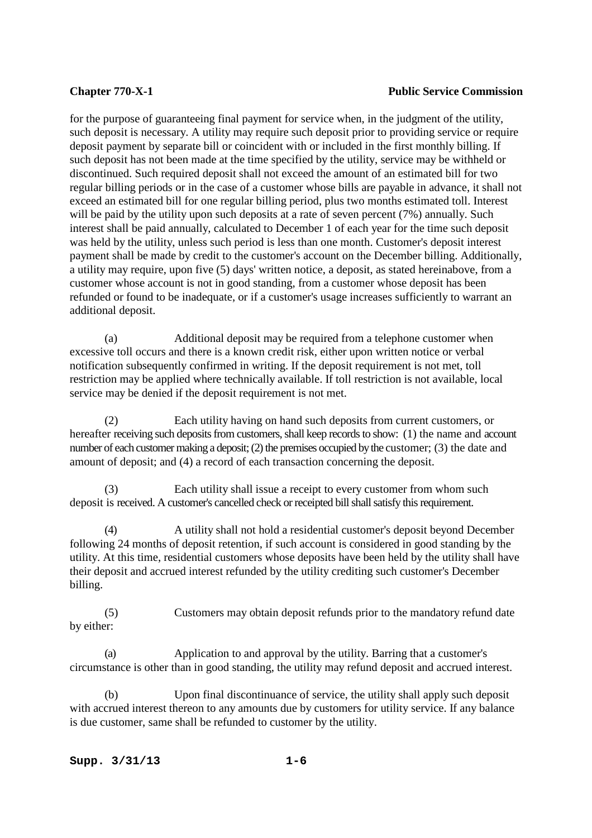### **Chapter 770-X-1** Public Service Commission

for the purpose of guaranteeing final payment for service when, in the judgment of the utility, such deposit is necessary. A utility may require such deposit prior to providing service or require deposit payment by separate bill or coincident with or included in the first monthly billing. If such deposit has not been made at the time specified by the utility, service may be withheld or discontinued. Such required deposit shall not exceed the amount of an estimated bill for two regular billing periods or in the case of a customer whose bills are payable in advance, it shall not exceed an estimated bill for one regular billing period, plus two months estimated toll. Interest will be paid by the utility upon such deposits at a rate of seven percent (7%) annually. Such interest shall be paid annually, calculated to December 1 of each year for the time such deposit was held by the utility, unless such period is less than one month. Customer's deposit interest payment shall be made by credit to the customer's account on the December billing. Additionally, a utility may require, upon five (5) days' written notice, a deposit, as stated hereinabove, from a customer whose account is not in good standing, from a customer whose deposit has been refunded or found to be inadequate, or if a customer's usage increases sufficiently to warrant an additional deposit.

 (a) Additional deposit may be required from a telephone customer when excessive toll occurs and there is a known credit risk, either upon written notice or verbal notification subsequently confirmed in writing. If the deposit requirement is not met, toll restriction may be applied where technically available. If toll restriction is not available, local service may be denied if the deposit requirement is not met.

 (2) Each utility having on hand such deposits from current customers, or hereafter receiving such deposits from customers, shall keep records to show: (1) the name and account number of each customer making a deposit; (2) the premises occupied by the customer; (3) the date and amount of deposit; and (4) a record of each transaction concerning the deposit.

 (3) Each utility shall issue a receipt to every customer from whom such deposit is received. A customer's cancelled check or receipted bill shall satisfy this requirement.

 (4) A utility shall not hold a residential customer's deposit beyond December following 24 months of deposit retention, if such account is considered in good standing by the utility. At this time, residential customers whose deposits have been held by the utility shall have their deposit and accrued interest refunded by the utility crediting such customer's December billing.

 (5) Customers may obtain deposit refunds prior to the mandatory refund date by either:

 (a) Application to and approval by the utility. Barring that a customer's circumstance is other than in good standing, the utility may refund deposit and accrued interest.

 (b) Upon final discontinuance of service, the utility shall apply such deposit with accrued interest thereon to any amounts due by customers for utility service. If any balance is due customer, same shall be refunded to customer by the utility.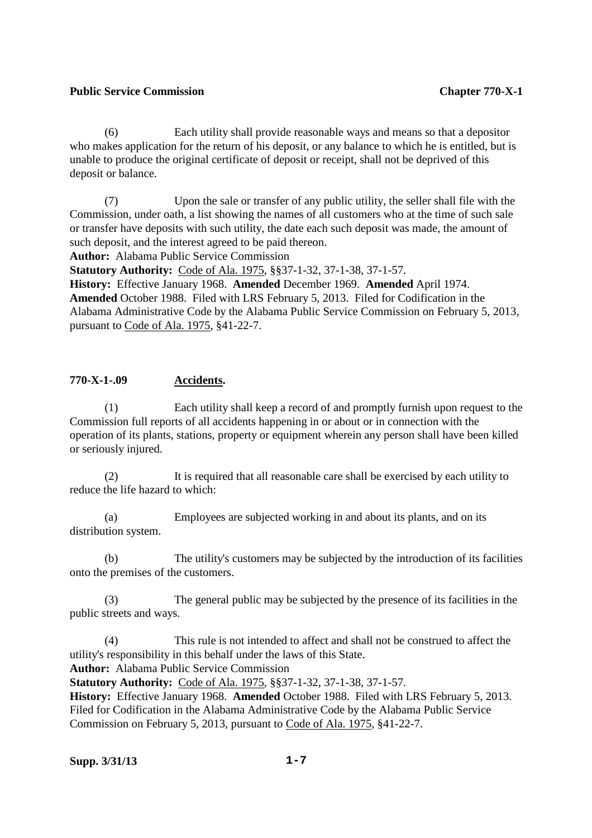(6) Each utility shall provide reasonable ways and means so that a depositor who makes application for the return of his deposit, or any balance to which he is entitled, but is unable to produce the original certificate of deposit or receipt, shall not be deprived of this deposit or balance.

 (7) Upon the sale or transfer of any public utility, the seller shall file with the Commission, under oath, a list showing the names of all customers who at the time of such sale or transfer have deposits with such utility, the date each such deposit was made, the amount of such deposit, and the interest agreed to be paid thereon.

**Author:** Alabama Public Service Commission

**Statutory Authority:** Code of Ala. 1975, §§37-1-32, 37-1-38, 37-1-57.

**History:** Effective January 1968. **Amended** December 1969. **Amended** April 1974. **Amended** October 1988. Filed with LRS February 5, 2013. Filed for Codification in the Alabama Administrative Code by the Alabama Public Service Commission on February 5, 2013, pursuant to Code of Ala. 1975, §41-22-7.

### **770-X-1-.09 Accidents.**

 (1) Each utility shall keep a record of and promptly furnish upon request to the Commission full reports of all accidents happening in or about or in connection with the operation of its plants, stations, property or equipment wherein any person shall have been killed or seriously injured.

 (2) It is required that all reasonable care shall be exercised by each utility to reduce the life hazard to which:

 (a) Employees are subjected working in and about its plants, and on its distribution system.

 (b) The utility's customers may be subjected by the introduction of its facilities onto the premises of the customers.

 (3) The general public may be subjected by the presence of its facilities in the public streets and ways.

 (4) This rule is not intended to affect and shall not be construed to affect the utility's responsibility in this behalf under the laws of this State.

**Author:** Alabama Public Service Commission

**Statutory Authority:** Code of Ala. 1975, §§37-1-32, 37-1-38, 37-1-57.

**History:** Effective January 1968. **Amended** October 1988. Filed with LRS February 5, 2013. Filed for Codification in the Alabama Administrative Code by the Alabama Public Service Commission on February 5, 2013, pursuant to Code of Ala. 1975, §41-22-7.

# **Supp. 3/31/13 1-7**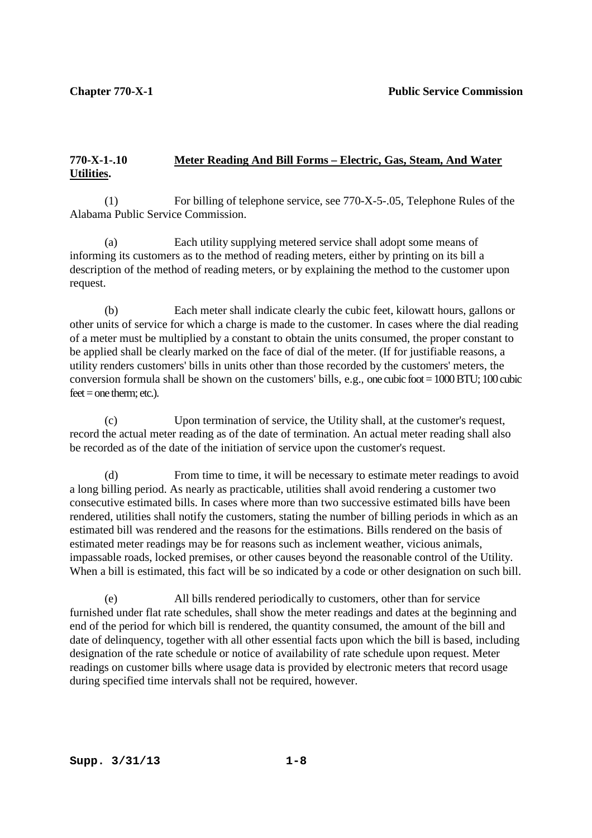# **770-X-1-.10 Meter Reading And Bill Forms – Electric, Gas, Steam, And Water Utilities.**

 (1) For billing of telephone service, see 770-X-5-.05, Telephone Rules of the Alabama Public Service Commission.

 (a) Each utility supplying metered service shall adopt some means of informing its customers as to the method of reading meters, either by printing on its bill a description of the method of reading meters, or by explaining the method to the customer upon request.

 (b) Each meter shall indicate clearly the cubic feet, kilowatt hours, gallons or other units of service for which a charge is made to the customer. In cases where the dial reading of a meter must be multiplied by a constant to obtain the units consumed, the proper constant to be applied shall be clearly marked on the face of dial of the meter. (If for justifiable reasons, a utility renders customers' bills in units other than those recorded by the customers' meters, the conversion formula shall be shown on the customers' bills, e.g., one cubic foot =  $1000 BTU$ ;  $100$  cubic  $f$ eet  $=$  one therm; etc.).

 (c) Upon termination of service, the Utility shall, at the customer's request, record the actual meter reading as of the date of termination. An actual meter reading shall also be recorded as of the date of the initiation of service upon the customer's request.

 (d) From time to time, it will be necessary to estimate meter readings to avoid a long billing period. As nearly as practicable, utilities shall avoid rendering a customer two consecutive estimated bills. In cases where more than two successive estimated bills have been rendered, utilities shall notify the customers, stating the number of billing periods in which as an estimated bill was rendered and the reasons for the estimations. Bills rendered on the basis of estimated meter readings may be for reasons such as inclement weather, vicious animals, impassable roads, locked premises, or other causes beyond the reasonable control of the Utility. When a bill is estimated, this fact will be so indicated by a code or other designation on such bill.

 (e) All bills rendered periodically to customers, other than for service furnished under flat rate schedules, shall show the meter readings and dates at the beginning and end of the period for which bill is rendered, the quantity consumed, the amount of the bill and date of delinquency, together with all other essential facts upon which the bill is based, including designation of the rate schedule or notice of availability of rate schedule upon request. Meter readings on customer bills where usage data is provided by electronic meters that record usage during specified time intervals shall not be required, however.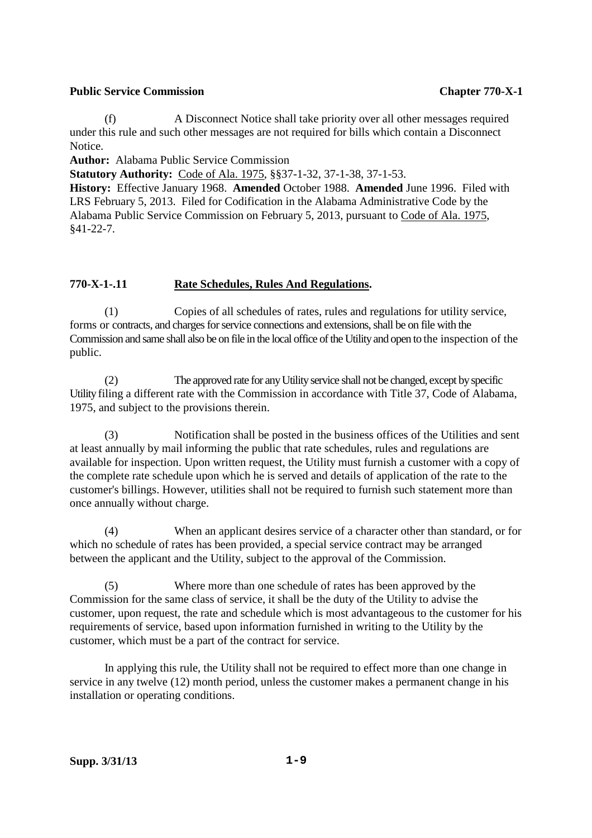(f) A Disconnect Notice shall take priority over all other messages required under this rule and such other messages are not required for bills which contain a Disconnect Notice.

**Author:** Alabama Public Service Commission

**Statutory Authority:** Code of Ala. 1975, §§37-1-32, 37-1-38, 37-1-53.

**History:** Effective January 1968. **Amended** October 1988. **Amended** June 1996. Filed with LRS February 5, 2013. Filed for Codification in the Alabama Administrative Code by the Alabama Public Service Commission on February 5, 2013, pursuant to Code of Ala. 1975, §41-22-7.

# **770-X-1-.11 Rate Schedules, Rules And Regulations.**

 (1) Copies of all schedules of rates, rules and regulations for utility service, forms or contracts, and charges for service connections and extensions, shall be on file with the Commission and same shall also be on file in the local office of the Utility and open to the inspection of the public.

 (2) The approved rate for any Utility service shall not be changed, except by specific Utility filing a different rate with the Commission in accordance with Title 37, Code of Alabama, 1975, and subject to the provisions therein.

 (3) Notification shall be posted in the business offices of the Utilities and sent at least annually by mail informing the public that rate schedules, rules and regulations are available for inspection. Upon written request, the Utility must furnish a customer with a copy of the complete rate schedule upon which he is served and details of application of the rate to the customer's billings. However, utilities shall not be required to furnish such statement more than once annually without charge.

 (4) When an applicant desires service of a character other than standard, or for which no schedule of rates has been provided, a special service contract may be arranged between the applicant and the Utility, subject to the approval of the Commission.

 (5) Where more than one schedule of rates has been approved by the Commission for the same class of service, it shall be the duty of the Utility to advise the customer, upon request, the rate and schedule which is most advantageous to the customer for his requirements of service, based upon information furnished in writing to the Utility by the customer, which must be a part of the contract for service.

 In applying this rule, the Utility shall not be required to effect more than one change in service in any twelve (12) month period, unless the customer makes a permanent change in his installation or operating conditions.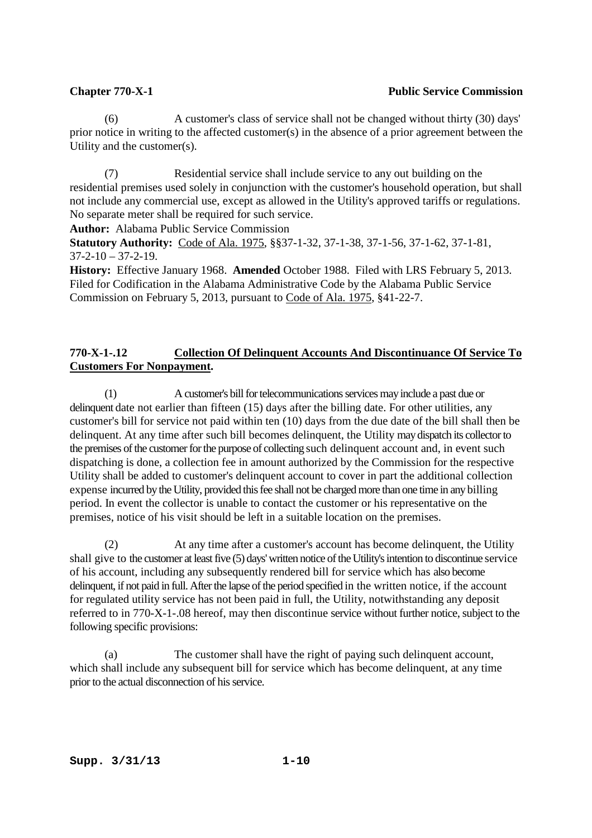(6) A customer's class of service shall not be changed without thirty (30) days' prior notice in writing to the affected customer(s) in the absence of a prior agreement between the Utility and the customer(s).

 (7) Residential service shall include service to any out building on the residential premises used solely in conjunction with the customer's household operation, but shall not include any commercial use, except as allowed in the Utility's approved tariffs or regulations. No separate meter shall be required for such service.

**Author:** Alabama Public Service Commission

**Statutory Authority:** Code of Ala. 1975, §§37-1-32, 37-1-38, 37-1-56, 37-1-62, 37-1-81,  $37-2-10 - 37-2-19$ .

**History:** Effective January 1968. **Amended** October 1988. Filed with LRS February 5, 2013. Filed for Codification in the Alabama Administrative Code by the Alabama Public Service Commission on February 5, 2013, pursuant to Code of Ala. 1975, §41-22-7.

# **770-X-1-.12 Collection Of Delinquent Accounts And Discontinuance Of Service To Customers For Nonpayment.**

 (1) A customer's bill for telecommunications services may include a past due or delinquent date not earlier than fifteen (15) days after the billing date. For other utilities, any customer's bill for service not paid within ten (10) days from the due date of the bill shall then be delinquent. At any time after such bill becomes delinquent, the Utility may dispatch its collector to the premises of the customer for the purpose of collecting such delinquent account and, in event such dispatching is done, a collection fee in amount authorized by the Commission for the respective Utility shall be added to customer's delinquent account to cover in part the additional collection expense incurred by the Utility, provided this fee shall not be charged more than one time in any billing period. In event the collector is unable to contact the customer or his representative on the premises, notice of his visit should be left in a suitable location on the premises.

 (2) At any time after a customer's account has become delinquent, the Utility shall give to the customer at least five (5) days' written notice of the Utility's intention to discontinue service of his account, including any subsequently rendered bill for service which has also become delinquent, if not paid in full. After the lapse of the period specified in the written notice, if the account for regulated utility service has not been paid in full, the Utility, notwithstanding any deposit referred to in 770-X-1-.08 hereof, may then discontinue service without further notice, subject to the following specific provisions:

 (a) The customer shall have the right of paying such delinquent account, which shall include any subsequent bill for service which has become delinquent, at any time prior to the actual disconnection of his service.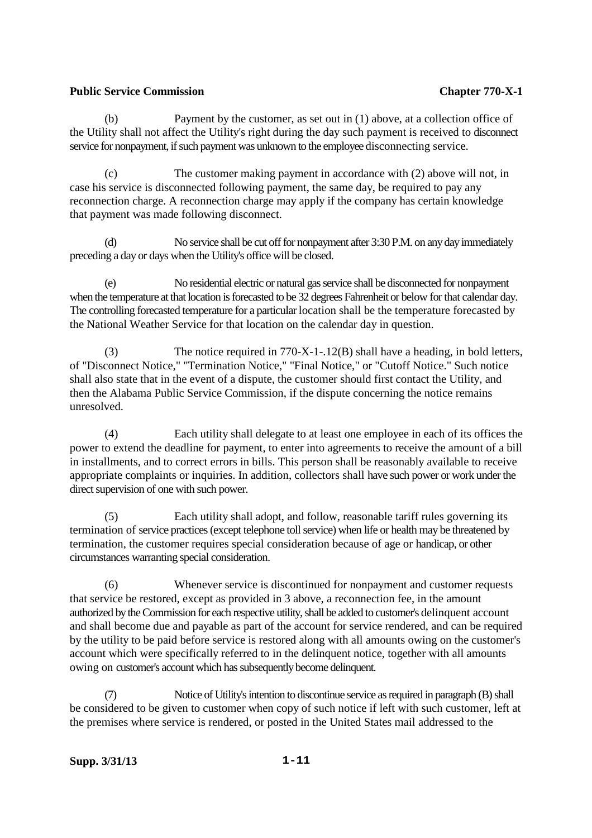(b) Payment by the customer, as set out in (1) above, at a collection office of the Utility shall not affect the Utility's right during the day such payment is received to disconnect service for nonpayment, if such payment was unknown to the employee disconnecting service.

 (c) The customer making payment in accordance with (2) above will not, in case his service is disconnected following payment, the same day, be required to pay any reconnection charge. A reconnection charge may apply if the company has certain knowledge that payment was made following disconnect.

No service shall be cut off for nonpayment after 3:30 P.M. on any day immediately preceding a day or days when the Utility's office will be closed.

 (e) No residential electric or natural gas service shall be disconnected for nonpayment when the temperature at that location is forecasted to be 32 degrees Fahrenheit or below for that calendar day. The controlling forecasted temperature for a particular location shall be the temperature forecasted by the National Weather Service for that location on the calendar day in question.

 (3) The notice required in 770-X-1-.12(B) shall have a heading, in bold letters, of "Disconnect Notice," "Termination Notice," "Final Notice," or "Cutoff Notice." Such notice shall also state that in the event of a dispute, the customer should first contact the Utility, and then the Alabama Public Service Commission, if the dispute concerning the notice remains unresolved.

 (4) Each utility shall delegate to at least one employee in each of its offices the power to extend the deadline for payment, to enter into agreements to receive the amount of a bill in installments, and to correct errors in bills. This person shall be reasonably available to receive appropriate complaints or inquiries. In addition, collectors shall have such power or work under the direct supervision of one with such power.

 (5) Each utility shall adopt, and follow, reasonable tariff rules governing its termination of service practices (except telephone toll service) when life or health may be threatened by termination, the customer requires special consideration because of age or handicap, or other circumstances warranting special consideration.

 (6) Whenever service is discontinued for nonpayment and customer requests that service be restored, except as provided in 3 above, a reconnection fee, in the amount authorized by the Commission for each respective utility, shall be added to customer's delinquent account and shall become due and payable as part of the account for service rendered, and can be required by the utility to be paid before service is restored along with all amounts owing on the customer's account which were specifically referred to in the delinquent notice, together with all amounts owing on customer's account which has subsequently become delinquent.

 (7) Notice of Utility's intention to discontinue service as required in paragraph (B) shall be considered to be given to customer when copy of such notice if left with such customer, left at the premises where service is rendered, or posted in the United States mail addressed to the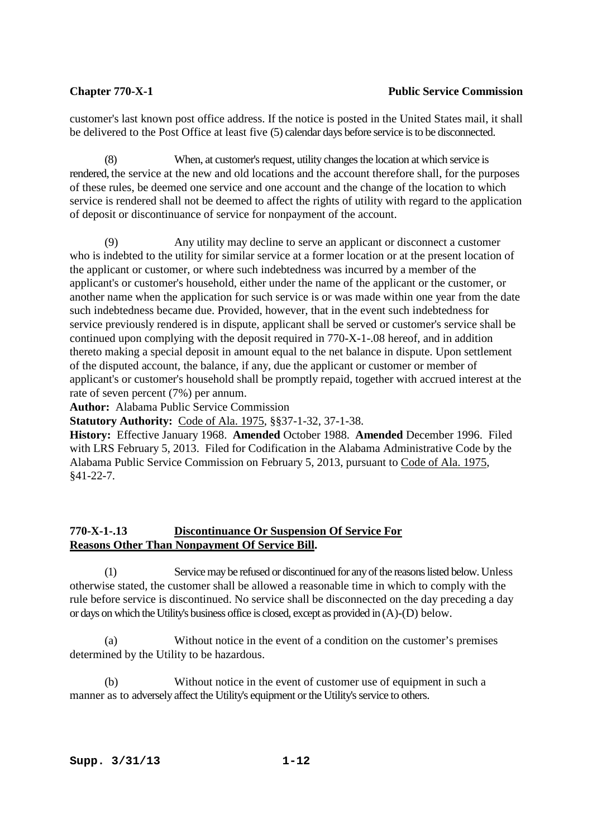# **Chapter 770-X-1** Public Service Commission

customer's last known post office address. If the notice is posted in the United States mail, it shall be delivered to the Post Office at least five (5) calendar days before service is to be disconnected.

 (8) When, at customer's request, utility changes the location at which service is rendered, the service at the new and old locations and the account therefore shall, for the purposes of these rules, be deemed one service and one account and the change of the location to which service is rendered shall not be deemed to affect the rights of utility with regard to the application of deposit or discontinuance of service for nonpayment of the account.

 (9) Any utility may decline to serve an applicant or disconnect a customer who is indebted to the utility for similar service at a former location or at the present location of the applicant or customer, or where such indebtedness was incurred by a member of the applicant's or customer's household, either under the name of the applicant or the customer, or another name when the application for such service is or was made within one year from the date such indebtedness became due. Provided, however, that in the event such indebtedness for service previously rendered is in dispute, applicant shall be served or customer's service shall be continued upon complying with the deposit required in 770-X-1-.08 hereof, and in addition thereto making a special deposit in amount equal to the net balance in dispute. Upon settlement of the disputed account, the balance, if any, due the applicant or customer or member of applicant's or customer's household shall be promptly repaid, together with accrued interest at the rate of seven percent (7%) per annum.

**Author:** Alabama Public Service Commission

**Statutory Authority:** Code of Ala. 1975, §§37-1-32, 37-1-38.

**History:** Effective January 1968. **Amended** October 1988. **Amended** December 1996. Filed with LRS February 5, 2013. Filed for Codification in the Alabama Administrative Code by the Alabama Public Service Commission on February 5, 2013, pursuant to Code of Ala. 1975, §41-22-7.

# **770-X-1-.13 Discontinuance Or Suspension Of Service For Reasons Other Than Nonpayment Of Service Bill.**

 (1) Service may be refused or discontinued for any of the reasons listed below. Unless otherwise stated, the customer shall be allowed a reasonable time in which to comply with the rule before service is discontinued. No service shall be disconnected on the day preceding a day or days on which the Utility's business office is closed, except as provided in (A)-(D) below.

 (a) Without notice in the event of a condition on the customer's premises determined by the Utility to be hazardous.

 (b) Without notice in the event of customer use of equipment in such a manner as to adversely affect the Utility's equipment or the Utility's service to others.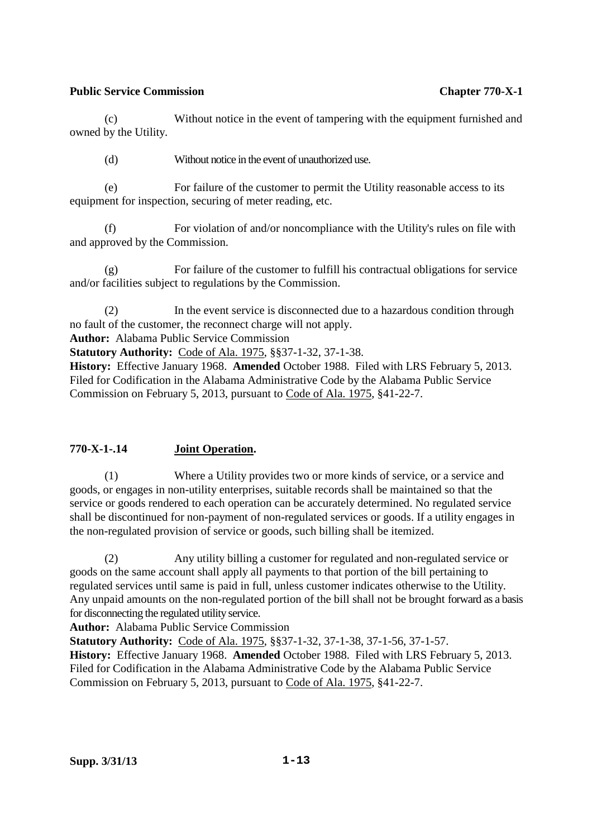(c) Without notice in the event of tampering with the equipment furnished and owned by the Utility.

(d) Without notice in the event of unauthorized use.

 (e) For failure of the customer to permit the Utility reasonable access to its equipment for inspection, securing of meter reading, etc.

 (f) For violation of and/or noncompliance with the Utility's rules on file with and approved by the Commission.

 (g) For failure of the customer to fulfill his contractual obligations for service and/or facilities subject to regulations by the Commission.

 (2) In the event service is disconnected due to a hazardous condition through no fault of the customer, the reconnect charge will not apply.

**Author:** Alabama Public Service Commission

**Statutory Authority:** Code of Ala. 1975, §§37-1-32, 37-1-38.

**History:** Effective January 1968. **Amended** October 1988. Filed with LRS February 5, 2013. Filed for Codification in the Alabama Administrative Code by the Alabama Public Service Commission on February 5, 2013, pursuant to Code of Ala. 1975, §41-22-7.

# **770-X-1-.14 Joint Operation.**

 (1) Where a Utility provides two or more kinds of service, or a service and goods, or engages in non-utility enterprises, suitable records shall be maintained so that the service or goods rendered to each operation can be accurately determined. No regulated service shall be discontinued for non-payment of non-regulated services or goods. If a utility engages in the non-regulated provision of service or goods, such billing shall be itemized.

 (2) Any utility billing a customer for regulated and non-regulated service or goods on the same account shall apply all payments to that portion of the bill pertaining to regulated services until same is paid in full, unless customer indicates otherwise to the Utility. Any unpaid amounts on the non-regulated portion of the bill shall not be brought forward as a basis for disconnecting the regulated utility service.

**Author:** Alabama Public Service Commission

**Statutory Authority:** Code of Ala. 1975, §§37-1-32, 37-1-38, 37-1-56, 37-1-57. **History:** Effective January 1968. **Amended** October 1988. Filed with LRS February 5, 2013. Filed for Codification in the Alabama Administrative Code by the Alabama Public Service Commission on February 5, 2013, pursuant to Code of Ala. 1975, §41-22-7.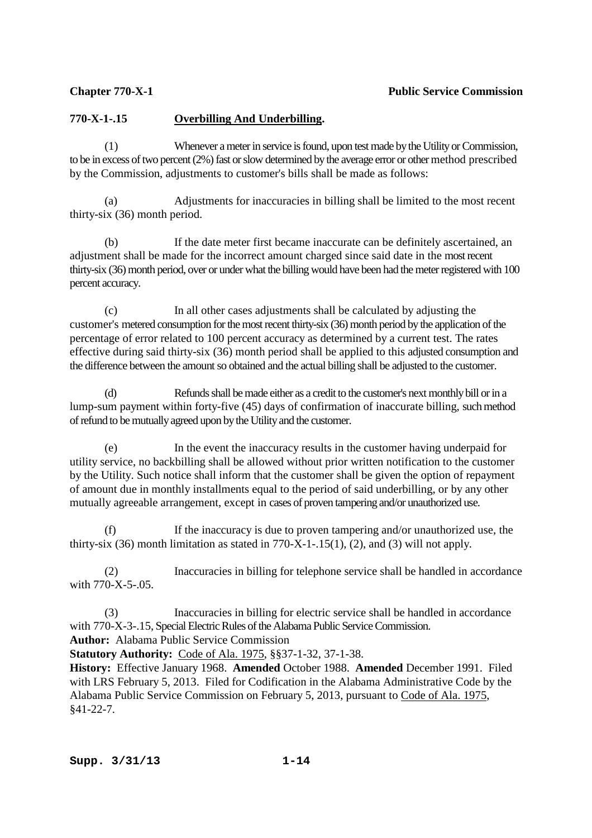# **770-X-1-.15 Overbilling And Underbilling.**

 (1) Whenever a meter in service is found, upon test made by the Utility or Commission, to be in excess of two percent (2%) fast or slow determined by the average error or other method prescribed by the Commission, adjustments to customer's bills shall be made as follows:

 (a) Adjustments for inaccuracies in billing shall be limited to the most recent thirty-six (36) month period.

 (b) If the date meter first became inaccurate can be definitely ascertained, an adjustment shall be made for the incorrect amount charged since said date in the most recent thirty-six (36) month period, over or under what the billing would have been had the meter registered with 100 percent accuracy.

 (c) In all other cases adjustments shall be calculated by adjusting the customer's metered consumption for the most recent thirty-six (36) month period by the application of the percentage of error related to 100 percent accuracy as determined by a current test. The rates effective during said thirty-six (36) month period shall be applied to this adjusted consumption and the difference between the amount so obtained and the actual billing shall be adjusted to the customer.

 (d) Refunds shall be made either as a credit to the customer's next monthly bill or in a lump-sum payment within forty-five (45) days of confirmation of inaccurate billing, such method of refund to be mutually agreed upon by the Utility and the customer.

 (e) In the event the inaccuracy results in the customer having underpaid for utility service, no backbilling shall be allowed without prior written notification to the customer by the Utility. Such notice shall inform that the customer shall be given the option of repayment of amount due in monthly installments equal to the period of said underbilling, or by any other mutually agreeable arrangement, except in cases of proven tampering and/or unauthorized use.

If the inaccuracy is due to proven tampering and/or unauthorized use, the thirty-six  $(36)$  month limitation as stated in 770-X-1-.15(1), (2), and (3) will not apply.

 (2) Inaccuracies in billing for telephone service shall be handled in accordance with  $770 - X - 5 - 05$ .

 (3) Inaccuracies in billing for electric service shall be handled in accordance with 770-X-3-.15, Special Electric Rules of the Alabama Public Service Commission.

**Author:** Alabama Public Service Commission

**Statutory Authority:** Code of Ala. 1975, §§37-1-32, 37-1-38.

**History:** Effective January 1968. **Amended** October 1988. **Amended** December 1991. Filed with LRS February 5, 2013. Filed for Codification in the Alabama Administrative Code by the Alabama Public Service Commission on February 5, 2013, pursuant to Code of Ala. 1975, §41-22-7.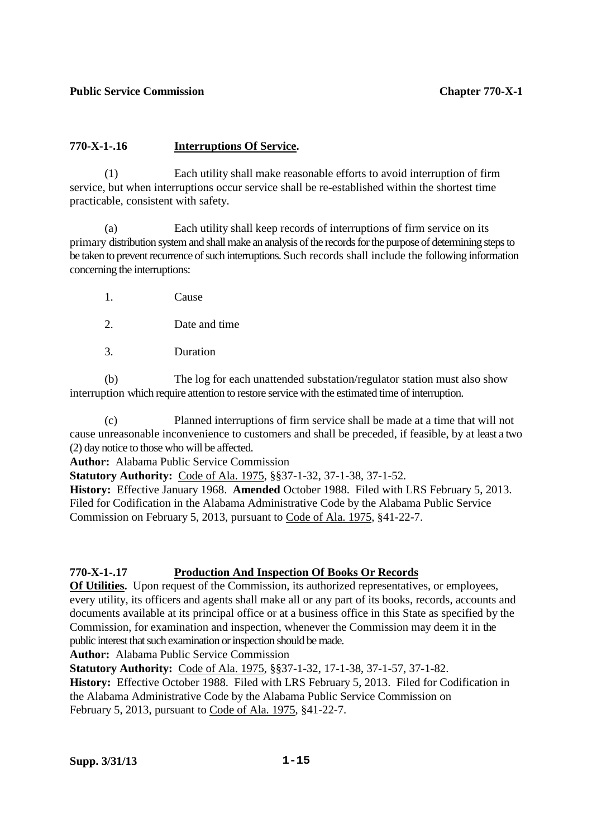# **770-X-1-.16 Interruptions Of Service.**

 (1) Each utility shall make reasonable efforts to avoid interruption of firm service, but when interruptions occur service shall be re-established within the shortest time practicable, consistent with safety.

 (a) Each utility shall keep records of interruptions of firm service on its primary distribution system and shall make an analysis of the records for the purpose of determining steps to be taken to prevent recurrence of such interruptions. Such records shall include the following information concerning the interruptions:

- 1. Cause
- 2. Date and time
- 3. Duration

 (b) The log for each unattended substation/regulator station must also show interruption which require attention to restore service with the estimated time of interruption.

 (c) Planned interruptions of firm service shall be made at a time that will not cause unreasonable inconvenience to customers and shall be preceded, if feasible, by at least a two (2) day notice to those who will be affected.

**Author:** Alabama Public Service Commission

**Statutory Authority:** Code of Ala. 1975, §§37-1-32, 37-1-38, 37-1-52.

**History:** Effective January 1968. **Amended** October 1988. Filed with LRS February 5, 2013. Filed for Codification in the Alabama Administrative Code by the Alabama Public Service Commission on February 5, 2013, pursuant to Code of Ala. 1975, §41-22-7.

# **770-X-1-.17 Production And Inspection Of Books Or Records**

**Of Utilities.** Upon request of the Commission, its authorized representatives, or employees, every utility, its officers and agents shall make all or any part of its books, records, accounts and documents available at its principal office or at a business office in this State as specified by the Commission, for examination and inspection, whenever the Commission may deem it in the public interest that such examination or inspection should be made.

**Author:** Alabama Public Service Commission

**Statutory Authority:** Code of Ala. 1975, §§37-1-32, 17-1-38, 37-1-57, 37-1-82.

**History:** Effective October 1988. Filed with LRS February 5, 2013. Filed for Codification in the Alabama Administrative Code by the Alabama Public Service Commission on February 5, 2013, pursuant to Code of Ala. 1975, §41-22-7.